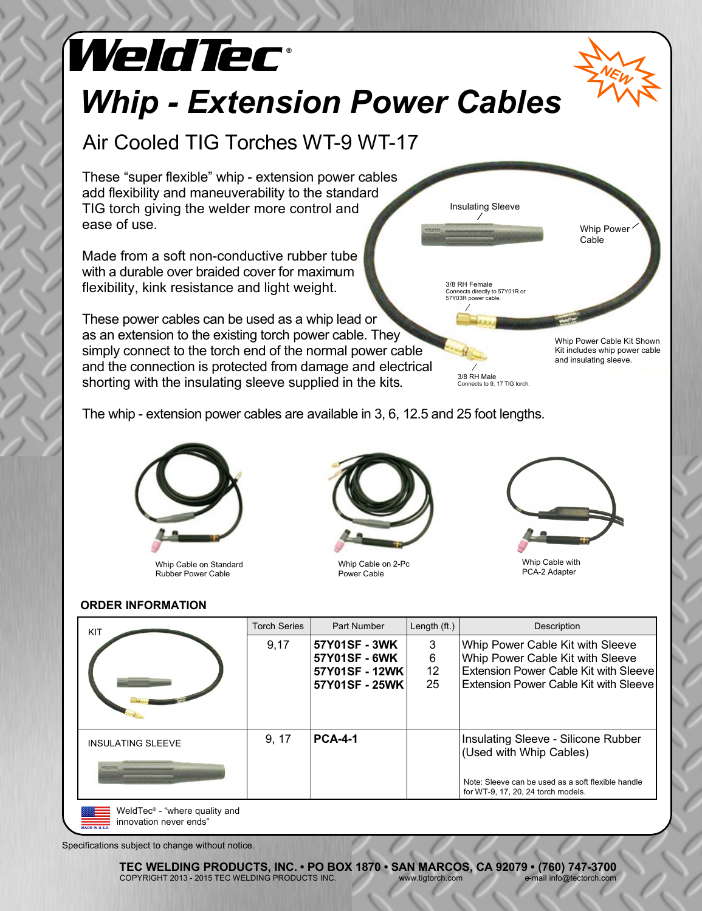## **<sup>W</sup> ® eldTec** *NEW* 3/8 RH Female Connects directly to 57Y01R or 57Y03R power cable. Whip Power Cable 3/8 RH Male Insulating Sleeve Whip Power Cable Kit Shown Kit includes whip power cable and insulating sleeve. These "super flexible" whip - extension power cables add flexibility and maneuverability to the standard TIG torch giving the welder more control and ease of use. Made from a soft non-conductive rubber tube with a durable over braided cover for maximum flexibility, kink resistance and light weight. These power cables can be used as a whip lead or as an extension to the existing torch power cable. They simply connect to the torch end of the normal power cable and the connection is protected from damage and electrical *Whip - Extension Power Cables* Air Cooled TIG Torches WT-9 WT-17

shorting with the insulating sleeve supplied in the kits.

The whip - extension power cables are available in 3, 6, 12.5 and 25 foot lengths.



Whip Cable on Standard Rubber Power Cable



Whip Cable on 2-Pc Power Cable



Whip Cable with PCA-2 Adapter

Connects to 9, 17 TIG torch.

## **ORDER INFORMATION**

| KIT                                                                 | <b>Torch Series</b> | Part Number    | Length $(ft.)$ | Description                                                                              |
|---------------------------------------------------------------------|---------------------|----------------|----------------|------------------------------------------------------------------------------------------|
|                                                                     | 9,17                | 57Y01SF - 3WK  | 3              | Whip Power Cable Kit with Sleeve                                                         |
|                                                                     |                     | 57Y01SF - 6WK  | 6              | Whip Power Cable Kit with Sleeve                                                         |
|                                                                     |                     | 57Y01SF - 12WK | 12             | Extension Power Cable Kit with Sleevel                                                   |
|                                                                     |                     | 57Y01SF - 25WK | 25             | Extension Power Cable Kit with Sleeve                                                    |
|                                                                     |                     |                |                |                                                                                          |
| <b>INSULATING SLEEVE</b>                                            | 9, 17               | <b>PCA-4-1</b> |                | Insulating Sleeve - Silicone Rubber<br>(Used with Whip Cables)                           |
|                                                                     |                     |                |                |                                                                                          |
|                                                                     |                     |                |                | Note: Sleeve can be used as a soft flexible handle<br>for WT-9, 17, 20, 24 torch models. |
| WeldTec <sup>®</sup> - "where quality and<br>innovation never ends" |                     |                |                |                                                                                          |

Specifications subject to change without notice.